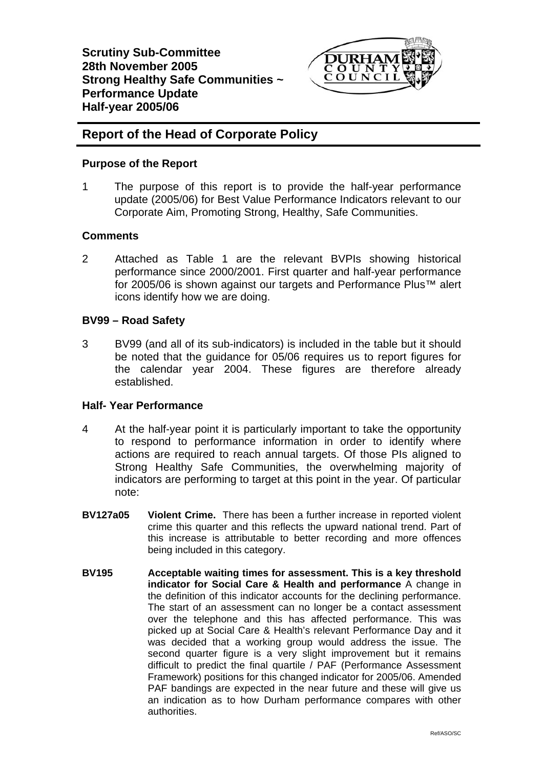

# **Report of the Head of Corporate Policy**

# **Purpose of the Report**

1 The purpose of this report is to provide the half-year performance update (2005/06) for Best Value Performance Indicators relevant to our Corporate Aim, Promoting Strong, Healthy, Safe Communities.

# **Comments**

2 Attached as Table 1 are the relevant BVPIs showing historical performance since 2000/2001. First quarter and half-year performance for 2005/06 is shown against our targets and Performance Plus™ alert icons identify how we are doing.

# **BV99 – Road Safety**

3 BV99 (and all of its sub-indicators) is included in the table but it should be noted that the guidance for 05/06 requires us to report figures for the calendar year 2004. These figures are therefore already established.

### **Half- Year Performance**

- 4 At the half-year point it is particularly important to take the opportunity to respond to performance information in order to identify where actions are required to reach annual targets. Of those PIs aligned to Strong Healthy Safe Communities, the overwhelming majority of indicators are performing to target at this point in the year. Of particular note:
- **BV127a05 Violent Crime.** There has been a further increase in reported violent crime this quarter and this reflects the upward national trend. Part of this increase is attributable to better recording and more offences being included in this category.
- **BV195 Acceptable waiting times for assessment. This is a key threshold indicator for Social Care & Health and performance** A change in the definition of this indicator accounts for the declining performance. The start of an assessment can no longer be a contact assessment over the telephone and this has affected performance. This was picked up at Social Care & Health's relevant Performance Day and it was decided that a working group would address the issue. The second quarter figure is a very slight improvement but it remains difficult to predict the final quartile / PAF (Performance Assessment Framework) positions for this changed indicator for 2005/06. Amended PAF bandings are expected in the near future and these will give us an indication as to how Durham performance compares with other authorities.